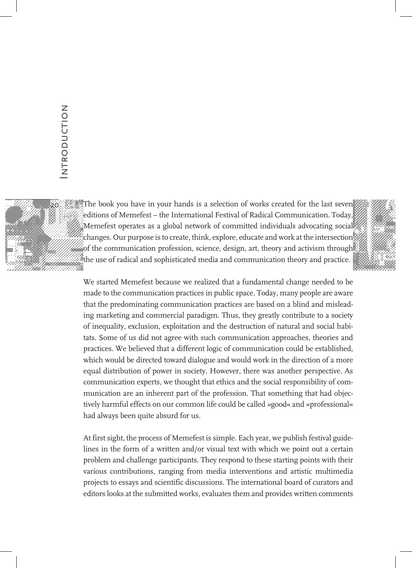

The book you have in your hands is a selection of works created for the last seven editions of Memefest – the International Festival of Radical Communication. Today, Memefest operates as a global network of committed individuals advocating social changes. Our purpose is to create, think, explore, educate and work at the intersection of the communication profession, science, design, art, theory and activism through the use of radical and sophisticated media and communication theory and practice.



We started Memefest because we realized that a fundamental change needed to be made to the communication practices in public space. Today, many people are aware that the predominating communication practices are based on a blind and misleading marketing and commercial paradigm. Thus, they greatly contribute to a society of inequality, exclusion, exploitation and the destruction of natural and social habitats. Some of us did not agree with such communication approaches, theories and practices. We believed that a different logic of communication could be established, which would be directed toward dialogue and would work in the direction of a more equal distribution of power in society. However, there was another perspective. As communication experts, we thought that ethics and the social responsibility of communication are an inherent part of the profession. That something that had objectively harmful effects on our common life could be called *»*good« and »professional« had always been quite absurd for us.

At first sight, the process of Memefest is simple. Each year, we publish festival guidelines in the form of a written and/or visual text with which we point out a certain problem and challenge participants. They respond to these starting points with their various contributions, ranging from media interventions and artistic multimedia projects to essays and scientific discussions. The international board of curators and editors looks at the submitted works, evaluates them and provides written comments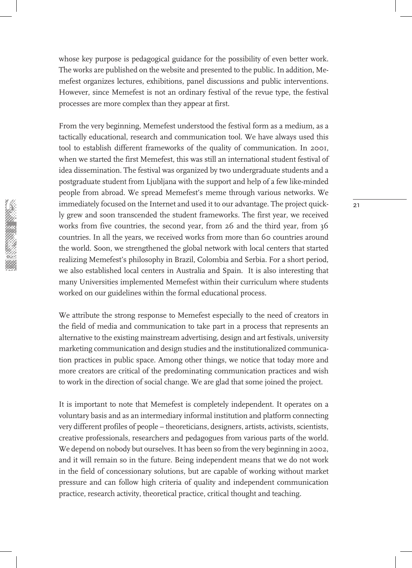whose key purpose is pedagogical guidance for the possibility of even better work. The works are published on the website and presented to the public. In addition, Memefest organizes lectures, exhibitions, panel discussions and public interventions. However, since Memefest is not an ordinary festival of the revue type, the festival processes are more complex than they appear at first.

From the very beginning, Memefest understood the festival form as a medium, as a tactically educational, research and communication tool. We have always used this tool to establish different frameworks of the quality of communication. In 2001, when we started the first Memefest, this was still an international student festival of idea dissemination. The festival was organized by two undergraduate students and a postgraduate student from Ljubljana with the support and help of a few like-minded people from abroad. We spread Memefest's meme through various networks. We immediately focused on the Internet and used it to our advantage. The project quickly grew and soon transcended the student frameworks. The first year, we received works from five countries, the second year, from 26 and the third year, from 36 countries. In all the years, we received works from more than 60 countries around the world. Soon, we strengthened the global network with local centers that started realizing Memefest's philosophy in Brazil, Colombia and Serbia. For a short period, we also established local centers in Australia and Spain. It is also interesting that many Universities implemented Memefest within their curriculum where students worked on our guidelines within the formal educational process.

We attribute the strong response to Memefest especially to the need of creators in the field of media and communication to take part in a process that represents an alternative to the existing mainstream advertising, design and art festivals, university marketing communication and design studies and the institutionalized communication practices in public space. Among other things, we notice that today more and more creators are critical of the predominating communication practices and wish to work in the direction of social change. We are glad that some joined the project.

It is important to note that Memefest is completely independent. It operates on a voluntary basis and as an intermediary informal institution and platform connecting very different profiles of people – theoreticians, designers, artists, activists, scientists, creative professionals, researchers and pedagogues from various parts of the world. We depend on nobody but ourselves. It has been so from the very beginning in 2002, and it will remain so in the future. Being independent means that we do not work in the field of concessionary solutions, but are capable of working without market pressure and can follow high criteria of quality and independent communication practice, research activity, theoretical practice, critical thought and teaching.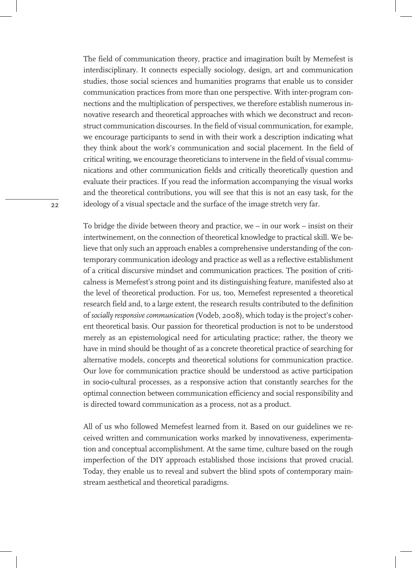The field of communication theory, practice and imagination built by Memefest is interdisciplinary. It connects especially sociology, design, art and communication studies, those social sciences and humanities programs that enable us to consider communication practices from more than one perspective. With inter-program connections and the multiplication of perspectives, we therefore establish numerous innovative research and theoretical approaches with which we deconstruct and reconstruct communication discourses. In the field of visual communication, for example, we encourage participants to send in with their work a description indicating what they think about the work's communication and social placement. In the field of critical writing, we encourage theoreticians to intervene in the field of visual communications and other communication fields and critically theoretically question and evaluate their practices. If you read the information accompanying the visual works and the theoretical contributions, you will see that this is not an easy task, for the ideology of a visual spectacle and the surface of the image stretch very far.

To bridge the divide between theory and practice, we – in our work – insist on their intertwinement, on the connection of theoretical knowledge to practical skill. We believe that only such an approach enables a comprehensive understanding of the contemporary communication ideology and practice as well as a reflective establishment of a critical discursive mindset and communication practices. The position of criticalness is Memefest's strong point and its distinguishing feature, manifested also at the level of theoretical production. For us, too, Memefest represented a theoretical research field and, to a large extent, the research results contributed to the definition of *socially responsive communication* (Vodeb, 2008), which today is the project's coherent theoretical basis. Our passion for theoretical production is not to be understood merely as an epistemological need for articulating practice; rather, the theory we have in mind should be thought of as a concrete theoretical practice of searching for alternative models, concepts and theoretical solutions for communication practice. Our love for communication practice should be understood as active participation in socio-cultural processes, as a responsive action that constantly searches for the optimal connection between communication efficiency and social responsibility and is directed toward communication as a process, not as a product.

All of us who followed Memefest learned from it. Based on our guidelines we received written and communication works marked by innovativeness, experimentation and conceptual accomplishment. At the same time, culture based on the rough imperfection of the DIY approach established those incisions that proved crucial. Today, they enable us to reveal and subvert the blind spots of contemporary mainstream aesthetical and theoretical paradigms.

 $22$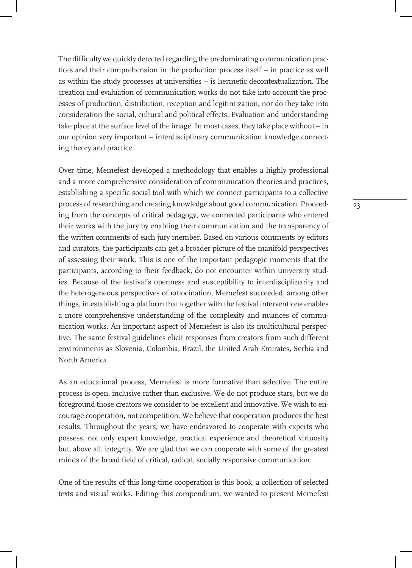The difficulty we quickly detected regarding the predominating communication practices and their comprehension in the production process itself – in practice as well as within the study processes at universities – is hermetic decontextualization. The creation and evaluation of communication works do not take into account the processes of production, distribution, reception and legitimization, nor do they take into consideration the social, cultural and political effects. Evaluation and understanding take place at the surface level of the image. In most cases, they take place without – in our opinion very important – interdisciplinary communication knowledge connecting theory and practice.

Over time, Memefest developed a methodology that enables a highly professional and a more comprehensive consideration of communication theories and practices, establishing a specific social tool with which we connect participants to a collective process of researching and creating knowledge about good communication. Proceeding from the concepts of critical pedagogy, we connected participants who entered their works with the jury by enabling their communication and the transparency of the written comments of each jury member. Based on various comments by editors and curators, the participants can get a broader picture of the manifold perspectives of assessing their work. This is one of the important pedagogic moments that the participants, according to their feedback, do not encounter within university studies. Because of the festival's openness and susceptibility to interdisciplinarity and the heterogeneous perspectives of ratiocination, Memefest succeeded, among other things, in establishing a platform that together with the festival interventions enables a more comprehensive understanding of the complexity and nuances of communication works. An important aspect of Memefest is also its multicultural perspective. The same festival guidelines elicit responses from creators from such different environments as Slovenia, Colombia, Brazil, the United Arab Emirates, Serbia and North America.

As an educational process, Memefest is more formative than selective. The entire process is open, inclusive rather than exclusive. We do not produce stars, but we do foreground those creators we consider to be excellent and innovative. We wish to encourage cooperation, not competition. We believe that cooperation produces the best results. Throughout the years, we have endeavored to cooperate with experts who possess, not only expert knowledge, practical experience and theoretical virtuosity but, above all, integrity. We are glad that we can cooperate with some of the greatest minds of the broad field of critical, radical, socially responsive communication.

One of the results of this long-time cooperation is this book, a collection of selected texts and visual works. Editing this compendium, we wanted to present Memefest 23